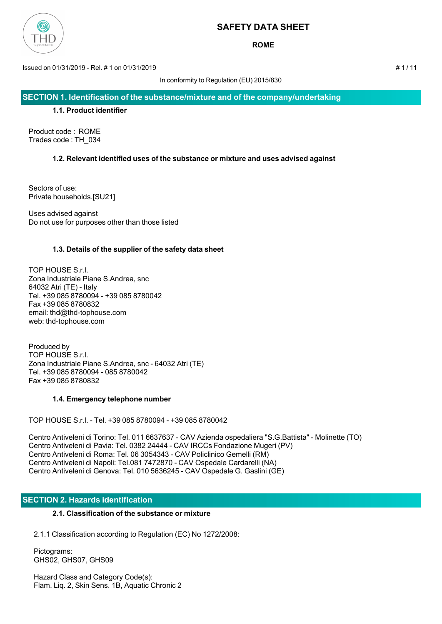

**ROME**

Issued on 01/31/2019 - Rel. # 1 on 01/31/2019 # 1 / 11

In conformity to Regulation (EU) 2015/830

**SECTION 1. Identification of the substance/mixture and of the company/undertaking**

## **1.1. Product identifier**

Product code : ROME Trades code : TH\_034

## **1.2. Relevant identified uses of the substance or mixture and uses advised against**

Sectors of use: Private households.[SU21]

Uses advised against Do not use for purposes other than those listed

## **1.3. Details of the supplier of the safety data sheet**

TOP HOUSE S.r.l. Zona Industriale Piane S.Andrea, snc 64032 Atri (TE) - Italy Tel. +39 085 8780094 - +39 085 8780042 Fax +39 085 8780832 email: thd@thd-tophouse.com web: thd-tophouse.com

Produced by TOP HOUSE S.r.l. Zona Industriale Piane S.Andrea, snc - 64032 Atri (TE) Tel. +39 085 8780094 - 085 8780042 Fax +39 085 8780832

## **1.4. Emergency telephone number**

TOP HOUSE S.r.l. - Tel. +39 085 8780094 - +39 085 8780042

Centro Antiveleni di Torino: Tel. 011 6637637 - CAV Azienda ospedaliera "S.G.Battista" - Molinette (TO) Centro Antiveleni di Pavia: Tel. 0382 24444 - CAV IRCCs Fondazione Mugeri (PV) Centro Antiveleni di Roma: Tel. 06 3054343 - CAV Policlinico Gemelli (RM) Centro Antiveleni di Napoli: Tel.081 7472870 - CAV Ospedale Cardarelli (NA) Centro Antiveleni di Genova: Tel. 010 5636245 - CAV Ospedale G. Gaslini (GE)

# **SECTION 2. Hazards identification**

## **2.1. Classification of the substance or mixture**

2.1.1 Classification according to Regulation (EC) No 1272/2008:

 Pictograms: GHS02, GHS07, GHS09

 Hazard Class and Category Code(s): Flam. Liq. 2, Skin Sens. 1B, Aquatic Chronic 2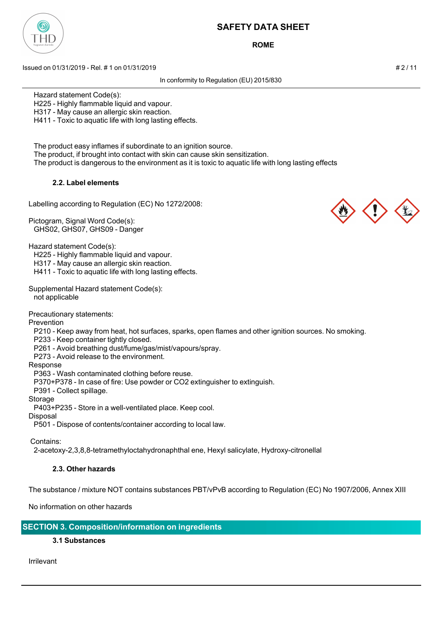

**ROME**

Issued on 01/31/2019 - Rel. # 1 on 01/31/2019 # 2 / 11

In conformity to Regulation (EU) 2015/830

Hazard statement Code(s):

H225 - Highly flammable liquid and vapour.

H317 - May cause an allergic skin reaction.

H411 - Toxic to aquatic life with long lasting effects.

 The product easy inflames if subordinate to an ignition source. The product, if brought into contact with skin can cause skin sensitization. The product is dangerous to the environment as it is toxic to aquatic life with long lasting effects

## **2.2. Label elements**

Labelling according to Regulation (EC) No 1272/2008:

Pictogram, Signal Word Code(s): GHS02, GHS07, GHS09 - Danger

Hazard statement Code(s):

H225 - Highly flammable liquid and vapour.

H317 - May cause an allergic skin reaction.

H411 - Toxic to aquatic life with long lasting effects.

Supplemental Hazard statement Code(s): not applicable

Precautionary statements:

Prevention

P210 - Keep away from heat, hot surfaces, sparks, open flames and other ignition sources. No smoking.

P233 - Keep container tightly closed.

P261 - Avoid breathing dust/fume/gas/mist/vapours/spray.

P273 - Avoid release to the environment.

#### Response

P363 - Wash contaminated clothing before reuse.

P370+P378 - In case of fire: Use powder or CO2 extinguisher to extinguish.

P391 - Collect spillage.

Storage

P403+P235 - Store in a well-ventilated place. Keep cool.

#### Disposal

P501 - Dispose of contents/container according to local law.

Contains:

2-acetoxy-2,3,8,8-tetramethyloctahydronaphthal ene, Hexyl salicylate, Hydroxy-citronellal

## **2.3. Other hazards**

The substance / mixture NOT contains substances PBT/vPvB according to Regulation (EC) No 1907/2006, Annex XIII

No information on other hazards

**SECTION 3. Composition/information on ingredients**

## **3.1 Substances**

Irrilevant



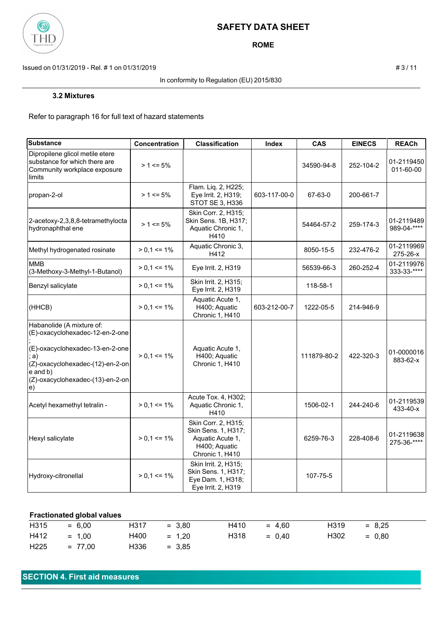

**ROME**

Issued on 01/31/2019 - Rel. # 1 on 01/31/2019 **# 3** / 11

### In conformity to Regulation (EU) 2015/830

#### **3.2 Mixtures**

Refer to paragraph 16 for full text of hazard statements

| <b>Substance</b>                                                                                                                                                                                 | Concentration   | <b>Classification</b>                                                                              | Index        | <b>CAS</b>  | <b>EINECS</b> | <b>REACh</b>              |
|--------------------------------------------------------------------------------------------------------------------------------------------------------------------------------------------------|-----------------|----------------------------------------------------------------------------------------------------|--------------|-------------|---------------|---------------------------|
| Dipropilene glicol metile etere<br>substance for which there are<br>Community workplace exposure<br>limits                                                                                       | $> 1 \le 5\%$   |                                                                                                    |              | 34590-94-8  | 252-104-2     | 01-2119450<br>011-60-00   |
| propan-2-ol                                                                                                                                                                                      | $> 1 \le 5\%$   | Flam. Liq. 2, H225;<br>Eye Irrit. 2, H319;<br>STOT SE 3, H336                                      | 603-117-00-0 | 67-63-0     | 200-661-7     |                           |
| 2-acetoxy-2,3,8,8-tetramethylocta<br>hydronaphthal ene                                                                                                                                           | $> 1 \le 5\%$   | Skin Corr. 2, H315;<br>Skin Sens. 1B, H317;<br>Aquatic Chronic 1,<br>H410                          |              | 54464-57-2  | 259-174-3     | 01-2119489<br>989-04-**** |
| Methyl hydrogenated rosinate                                                                                                                                                                     | $> 0.1 \le 1\%$ | Aquatic Chronic 3,<br>H412                                                                         |              | 8050-15-5   | 232-476-2     | 01-2119969<br>275-26-x    |
| <b>MMB</b><br>(3-Methoxy-3-Methyl-1-Butanol)                                                                                                                                                     | $> 0.1 \le 1\%$ | Eye Irrit. 2, H319                                                                                 |              | 56539-66-3  | 260-252-4     | 01-2119976<br>333-33-**** |
| Benzyl salicylate                                                                                                                                                                                | $> 0.1 \le 1\%$ | Skin Irrit. 2, H315;<br>Eye Irrit. 2, H319                                                         |              | 118-58-1    |               |                           |
| (HHCB)                                                                                                                                                                                           | $> 0.1 \le 1\%$ | Aquatic Acute 1,<br>H400; Aquatic<br>Chronic 1, H410                                               | 603-212-00-7 | 1222-05-5   | 214-946-9     |                           |
| Habanolide (A mixture of:<br>(E)-oxacyclohexadec-12-en-2-one<br>(E)-oxacyclohexadec-13-en-2-one<br>a)<br>(Z)-oxacyclohexadec-(12)-en-2-on<br>e and b)<br>(Z)-oxacyclohexadec-(13)-en-2-on<br>le) | $> 0.1 \le 1\%$ | Aquatic Acute 1,<br>H400; Aquatic<br>Chronic 1, H410                                               |              | 111879-80-2 | 422-320-3     | 01-0000016<br>883-62-x    |
| Acetyl hexamethyl tetralin -                                                                                                                                                                     | $> 0.1 \le 1\%$ | Acute Tox. 4, H302;<br>Aquatic Chronic 1,<br>H410                                                  |              | 1506-02-1   | 244-240-6     | 01-2119539<br>433-40-x    |
| Hexyl salicylate                                                                                                                                                                                 | $> 0.1 \le 1\%$ | Skin Corr. 2, H315;<br>Skin Sens. 1, H317;<br>Aquatic Acute 1,<br>H400; Aquatic<br>Chronic 1, H410 |              | 6259-76-3   | 228-408-6     | 01-2119638<br>275-36-**** |
| Hydroxy-citronellal                                                                                                                                                                              | $> 0.1 \le 1\%$ | Skin Irrit. 2, H315;<br>Skin Sens. 1, H317;<br>Eye Dam. 1, H318;<br>Eye Irrit. 2, H319             |              | 107-75-5    |               |                           |

## **Fractionated global values**

| H315          | $= 6.00$  | H317 | $= 3.80$ | H410 | $= 4.60$ | H319 | $= 8.25$ |
|---------------|-----------|------|----------|------|----------|------|----------|
| $H412 = 1,00$ |           | H400 | $= 1.20$ | H318 | $= 0.40$ | H302 | $= 0.80$ |
| H225          | $= 77.00$ | H336 | $= 3.85$ |      |          |      |          |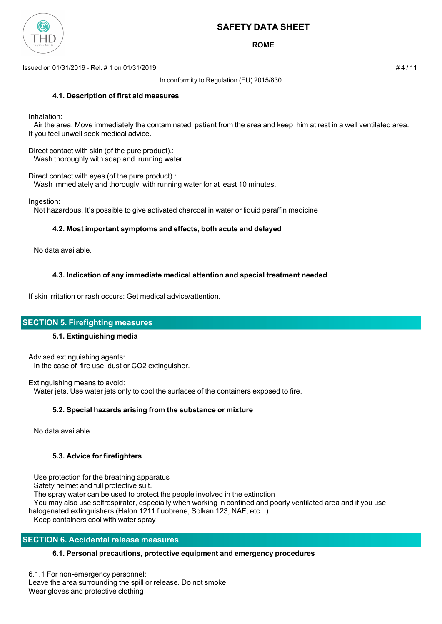

**ROME**

Issued on 01/31/2019 - Rel. # 1 on 01/31/2019 # 4 / 11

In conformity to Regulation (EU) 2015/830

### **4.1. Description of first aid measures**

Inhalation:

 Air the area. Move immediately the contaminated patient from the area and keep him at rest in a well ventilated area. If you feel unwell seek medical advice.

Direct contact with skin (of the pure product).: Wash thoroughly with soap and running water.

Direct contact with eyes (of the pure product).:

Wash immediately and thorougly with running water for at least 10 minutes.

Ingestion:

Not hazardous. It's possible to give activated charcoal in water or liquid paraffin medicine

### **4.2. Most important symptoms and effects, both acute and delayed**

No data available.

## **4.3. Indication of any immediate medical attention and special treatment needed**

If skin irritation or rash occurs: Get medical advice/attention.

## **SECTION 5. Firefighting measures**

## **5.1. Extinguishing media**

Advised extinguishing agents: In the case of fire use: dust or CO2 extinguisher.

Extinguishing means to avoid: Water jets. Use water jets only to cool the surfaces of the containers exposed to fire.

## **5.2. Special hazards arising from the substance or mixture**

No data available.

## **5.3. Advice for firefighters**

Use protection for the breathing apparatus

Safety helmet and full protective suit.

The spray water can be used to protect the people involved in the extinction

 You may also use selfrespirator, especially when working in confined and poorly ventilated area and if you use halogenated extinguishers (Halon 1211 fluobrene, Solkan 123, NAF, etc...)

Keep containers cool with water spray

# **SECTION 6. Accidental release measures**

## **6.1. Personal precautions, protective equipment and emergency procedures**

6.1.1 For non-emergency personnel: Leave the area surrounding the spill or release. Do not smoke Wear gloves and protective clothing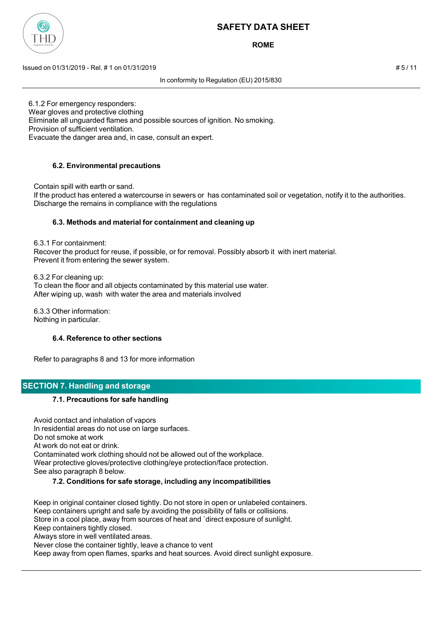

**ROME**

Issued on 01/31/2019 - Rel. # 1 on 01/31/2019 # 5 / 11

In conformity to Regulation (EU) 2015/830

6.1.2 For emergency responders: Wear gloves and protective clothing Eliminate all unguarded flames and possible sources of ignition. No smoking. Provision of sufficient ventilation. Evacuate the danger area and, in case, consult an expert.

# **6.2. Environmental precautions**

Contain spill with earth or sand.

 If the product has entered a watercourse in sewers or has contaminated soil or vegetation, notify it to the authorities. Discharge the remains in compliance with the regulations

## **6.3. Methods and material for containment and cleaning up**

6.3.1 For containment:

 Recover the product for reuse, if possible, or for removal. Possibly absorb it with inert material. Prevent it from entering the sewer system.

6.3.2 For cleaning up:

 To clean the floor and all objects contaminated by this material use water. After wiping up, wash with water the area and materials involved

 6.3.3 Other information: Nothing in particular.

## **6.4. Reference to other sections**

Refer to paragraphs 8 and 13 for more information

# **SECTION 7. Handling and storage**

## **7.1. Precautions for safe handling**

 Avoid contact and inhalation of vapors In residential areas do not use on large surfaces. Do not smoke at work At work do not eat or drink. Contaminated work clothing should not be allowed out of the workplace. Wear protective gloves/protective clothing/eye protection/face protection. See also paragraph 8 below.

## **7.2. Conditions for safe storage, including any incompatibilities**

 Keep in original container closed tightly. Do not store in open or unlabeled containers. Keep containers upright and safe by avoiding the possibility of falls or collisions. Store in a cool place, away from sources of heat and `direct exposure of sunlight. Keep containers tightly closed.

Always store in well ventilated areas.

Never close the container tightly, leave a chance to vent

Keep away from open flames, sparks and heat sources. Avoid direct sunlight exposure.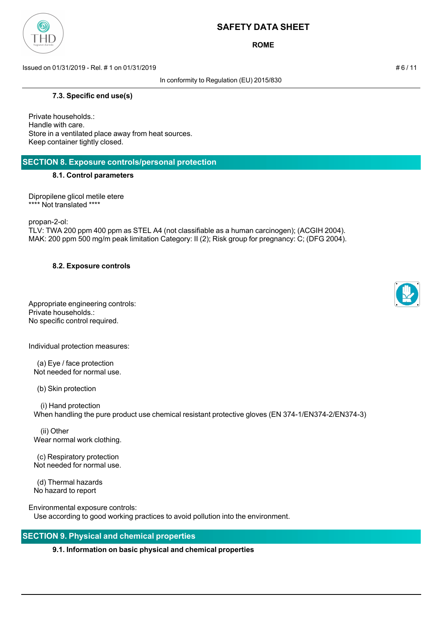

**ROME**

Issued on 01/31/2019 - Rel. # 1 on 01/31/2019 # 6 / 11

In conformity to Regulation (EU) 2015/830

### **7.3. Specific end use(s)**

Private households.: Handle with care. Store in a ventilated place away from heat sources. Keep container tightly closed.

## **SECTION 8. Exposure controls/personal protection**

### **8.1. Control parameters**

Dipropilene glicol metile etere \*\*\*\* Not translated \*\*\*\*

propan-2-ol:

TLV: TWA 200 ppm 400 ppm as STEL A4 (not classifiable as a human carcinogen); (ACGIH 2004). MAK: 200 ppm 500 mg/m peak limitation Category: II (2); Risk group for pregnancy: C; (DFG 2004).

## **8.2. Exposure controls**

Appropriate engineering controls: Private households.: No specific control required.

Individual protection measures:

 (a) Eye / face protection Not needed for normal use.

(b) Skin protection

 (i) Hand protection When handling the pure product use chemical resistant protective gloves (EN 374-1/EN374-2/EN374-3)

 (ii) Other Wear normal work clothing.

 (c) Respiratory protection Not needed for normal use.

 (d) Thermal hazards No hazard to report

Environmental exposure controls: Use according to good working practices to avoid pollution into the environment.

# **SECTION 9. Physical and chemical properties**

## **9.1. Information on basic physical and chemical properties**



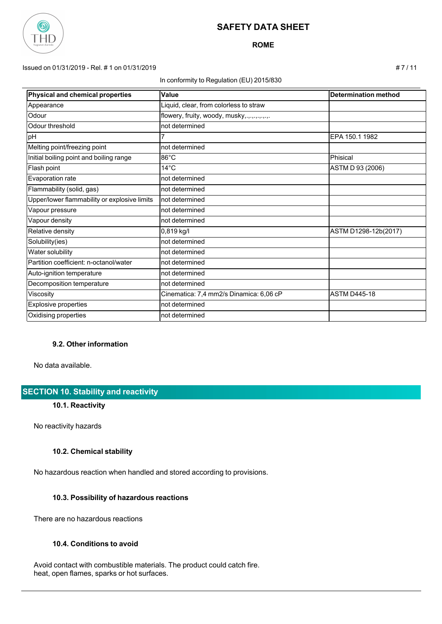

**ROME**

### Issued on 01/31/2019 - Rel. # 1 on 01/31/2019 # 7 / 11

#### In conformity to Regulation (EU) 2015/830

| Physical and chemical properties             | Value                                       | <b>Determination method</b> |
|----------------------------------------------|---------------------------------------------|-----------------------------|
| Appearance                                   | Liquid, clear, from colorless to straw      |                             |
| Odour                                        | flowery, fruity, woody, musky,.,.,.,.,.,.,. |                             |
| Odour threshold                              | not determined                              |                             |
| pH                                           |                                             | EPA 150.1 1982              |
| Melting point/freezing point                 | not determined                              |                             |
| Initial boiling point and boiling range      | $86^{\circ}$ C                              | Phisical                    |
| Flash point                                  | $14^{\circ}$ C                              | ASTM D 93 (2006)            |
| Evaporation rate                             | not determined                              |                             |
| Flammability (solid, gas)                    | not determined                              |                             |
| Upper/lower flammability or explosive limits | not determined                              |                             |
| Vapour pressure                              | not determined                              |                             |
| Vapour density                               | not determined                              |                             |
| Relative density                             | 0,819 kg/l                                  | ASTM D1298-12b(2017)        |
| Solubility(ies)                              | not determined                              |                             |
| Water solubility                             | not determined                              |                             |
| Partition coefficient: n-octanol/water       | not determined                              |                             |
| Auto-ignition temperature                    | not determined                              |                             |
| Decomposition temperature                    | not determined                              |                             |
| Viscosity                                    | Cinematica: 7,4 mm2/s Dinamica: 6,06 cP     | <b>ASTM D445-18</b>         |
| <b>Explosive properties</b>                  | not determined                              |                             |
| Oxidising properties                         | not determined                              |                             |

## **9.2. Other information**

No data available.

# **SECTION 10. Stability and reactivity**

#### **10.1. Reactivity**

No reactivity hazards

## **10.2. Chemical stability**

No hazardous reaction when handled and stored according to provisions.

#### **10.3. Possibility of hazardous reactions**

There are no hazardous reactions

#### **10.4. Conditions to avoid**

 Avoid contact with combustible materials. The product could catch fire. heat, open flames, sparks or hot surfaces.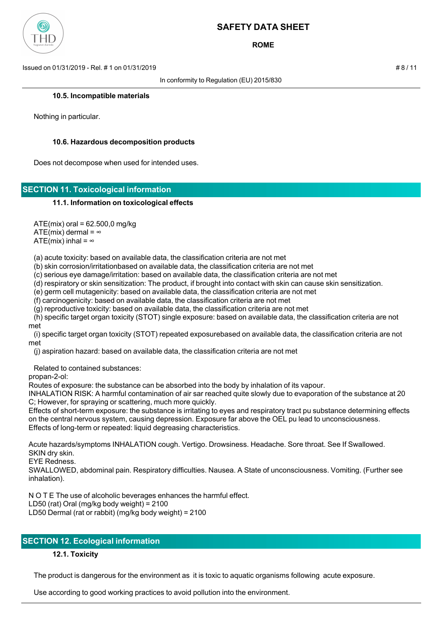

**ROME**

Issued on 01/31/2019 - Rel. # 1 on 01/31/2019 # 8 / 11

In conformity to Regulation (EU) 2015/830

#### **10.5. Incompatible materials**

Nothing in particular.

#### **10.6. Hazardous decomposition products**

Does not decompose when used for intended uses.

## **SECTION 11. Toxicological information**

#### **11.1. Information on toxicological effects**

 $ATE(min)$  oral = 62.500,0 mg/kg

ATE(mix) dermal =  $\infty$ 

ATE(mix) inhal =  $\infty$ 

(a) acute toxicity: based on available data, the classification criteria are not met

(b) skin corrosion/irritationbased on available data, the classification criteria are not met

(c) serious eye damage/irritation: based on available data, the classification criteria are not met

(d) respiratory or skin sensitization: The product, if brought into contact with skin can cause skin sensitization.

(e) germ cell mutagenicity: based on available data, the classification criteria are not met

(f) carcinogenicity: based on available data, the classification criteria are not met

(g) reproductive toxicity: based on available data, the classification criteria are not met

 (h) specific target organ toxicity (STOT) single exposure: based on available data, the classification criteria are not met

 (i) specific target organ toxicity (STOT) repeated exposurebased on available data, the classification criteria are not met

(j) aspiration hazard: based on available data, the classification criteria are not met

Related to contained substances:

propan-2-ol:

Routes of exposure: the substance can be absorbed into the body by inhalation of its vapour.

INHALATION RISK: A harmful contamination of air sar reached quite slowly due to evaporation of the substance at 20 C; However, for spraying or scattering, much more quickly.

Effects of short-term exposure: the substance is irritating to eyes and respiratory tract pu substance determining effects on the central nervous system, causing depression. Exposure far above the OEL pu lead to unconsciousness. Effects of long-term or repeated: liquid degreasing characteristics.

Acute hazards/symptoms INHALATION cough. Vertigo. Drowsiness. Headache. Sore throat. See If Swallowed. SKIN dry skin.

EYE Redness.

SWALLOWED, abdominal pain. Respiratory difficulties. Nausea. A State of unconsciousness. Vomiting. (Further see inhalation).

N O T E The use of alcoholic beverages enhances the harmful effect.

LD50 (rat) Oral (mg/kg body weight) = 2100

LD50 Dermal (rat or rabbit) (mg/kg body weight) = 2100

# **SECTION 12. Ecological information**

## **12.1. Toxicity**

The product is dangerous for the environment as it is toxic to aquatic organisms following acute exposure.

Use according to good working practices to avoid pollution into the environment.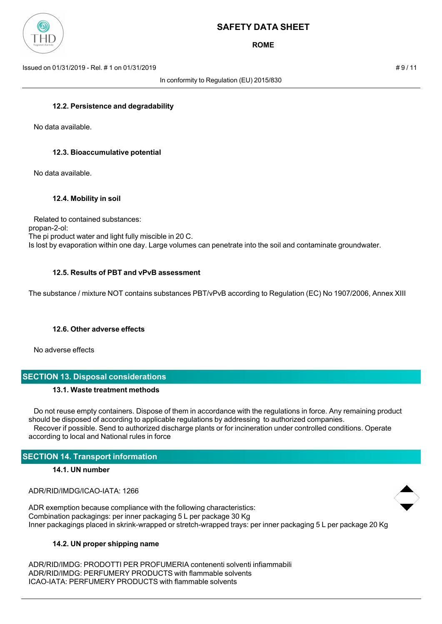

**ROME**

Issued on 01/31/2019 - Rel. # 1 on 01/31/2019 # 9 / 11

In conformity to Regulation (EU) 2015/830

#### **12.2. Persistence and degradability**

No data available.

#### **12.3. Bioaccumulative potential**

No data available.

### **12.4. Mobility in soil**

 Related to contained substances: propan-2-ol: The pi product water and light fully miscible in 20 C. Is lost by evaporation within one day. Large volumes can penetrate into the soil and contaminate groundwater.

#### **12.5. Results of PBT and vPvB assessment**

The substance / mixture NOT contains substances PBT/vPvB according to Regulation (EC) No 1907/2006, Annex XIII

#### **12.6. Other adverse effects**

No adverse effects

# **SECTION 13. Disposal considerations**

#### **13.1. Waste treatment methods**

 Do not reuse empty containers. Dispose of them in accordance with the regulations in force. Any remaining product should be disposed of according to applicable regulations by addressing to authorized companies. Recover if possible. Send to authorized discharge plants or for incineration under controlled conditions. Operate according to local and National rules in force

## **SECTION 14. Transport information**

#### **14.1. UN number**

ADR/RID/IMDG/ICAO-IATA: 1266

ADR exemption because compliance with the following characteristics: Combination packagings: per inner packaging 5 L per package 30 Kg Inner packagings placed in skrink-wrapped or stretch-wrapped trays: per inner packaging 5 L per package 20 Kg

#### **14.2. UN proper shipping name**

ADR/RID/IMDG: PRODOTTI PER PROFUMERIA contenenti solventi infiammabili ADR/RID/IMDG: PERFUMERY PRODUCTS with flammable solvents ICAO-IATA: PERFUMERY PRODUCTS with flammable solvents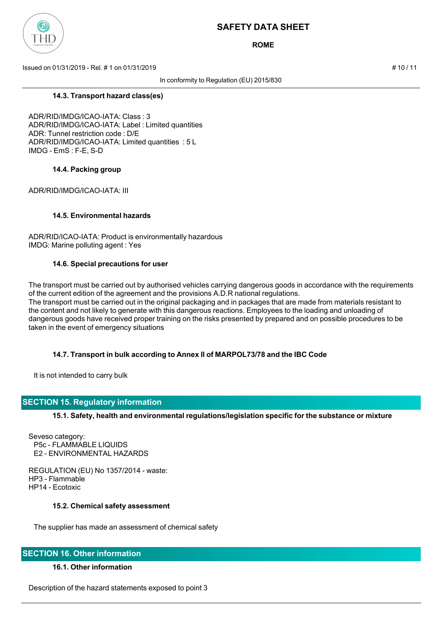

**ROME**

Issued on 01/31/2019 - Rel. # 1 on 01/31/2019 # 10 / 11

In conformity to Regulation (EU) 2015/830

**14.3. Transport hazard class(es)**

ADR/RID/IMDG/ICAO-IATA: Class : 3 ADR/RID/IMDG/ICAO-IATA: Label : Limited quantities ADR: Tunnel restriction code : D/E ADR/RID/IMDG/ICAO-IATA: Limited quantities : 5 L IMDG - EmS : F-E, S-D

#### **14.4. Packing group**

ADR/RID/IMDG/ICAO-IATA: III

### **14.5. Environmental hazards**

ADR/RID/ICAO-IATA: Product is environmentally hazardous IMDG: Marine polluting agent : Yes

#### **14.6. Special precautions for user**

The transport must be carried out by authorised vehicles carrying dangerous goods in accordance with the requirements of the current edition of the agreement and the provisions A.D.R national regulations. The transport must be carried out in the original packaging and in packages that are made from materials resistant to the content and not likely to generate with this dangerous reactions. Employees to the loading and unloading of dangerous goods have received proper training on the risks presented by prepared and on possible procedures to be taken in the event of emergency situations

## **14.7. Transport in bulk according to Annex II of MARPOL73/78 and the IBC Code**

It is not intended to carry bulk

## **SECTION 15. Regulatory information**

**15.1. Safety, health and environmental regulations/legislation specific for the substance or mixture**

Seveso category: P5c - FLAMMABLE LIQUIDS E2 - ENVIRONMENTAL HAZARDS

REGULATION (EU) No 1357/2014 - waste: HP3 - Flammable HP14 - Ecotoxic

#### **15.2. Chemical safety assessment**

The supplier has made an assessment of chemical safety

## **SECTION 16. Other information**

#### **16.1. Other information**

Description of the hazard statements exposed to point 3